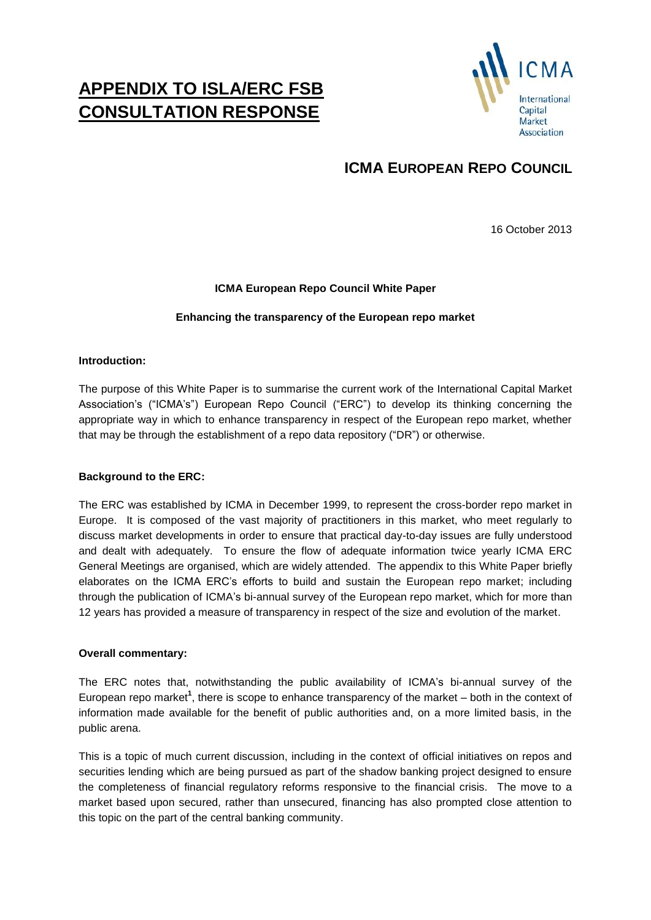# **APPENDIX TO ISLA/ERC FSB CONSULTATION RESPONSE**



## **ICMA EUROPEAN REPO COUNCIL**

16 October 2013

## **ICMA European Repo Council White Paper**

### **Enhancing the transparency of the European repo market**

### **Introduction:**

The purpose of this White Paper is to summarise the current work of the International Capital Market Association's ("ICMA's") European Repo Council ("ERC") to develop its thinking concerning the appropriate way in which to enhance transparency in respect of the European repo market, whether that may be through the establishment of a repo data repository ("DR") or otherwise.

### **Background to the ERC:**

The ERC was established by ICMA in December 1999, to represent the cross-border repo market in Europe. It is composed of the vast majority of practitioners in this market, who meet regularly to discuss market developments in order to ensure that practical day-to-day issues are fully understood and dealt with adequately. To ensure the flow of adequate information twice yearly ICMA ERC General Meetings are organised, which are widely attended. The appendix to this White Paper briefly elaborates on the ICMA ERC's efforts to build and sustain the European repo market; including through the publication of ICMA's bi-annual survey of the European repo market, which for more than 12 years has provided a measure of transparency in respect of the size and evolution of the market.

### **Overall commentary:**

The ERC notes that, notwithstanding the public availability of ICMA's bi-annual survey of the European repo market<sup>1</sup>, there is scope to enhance transparency of the market – both in the context of information made available for the benefit of public authorities and, on a more limited basis, in the public arena.

This is a topic of much current discussion, including in the context of official initiatives on repos and securities lending which are being pursued as part of the shadow banking project designed to ensure the completeness of financial regulatory reforms responsive to the financial crisis. The move to a market based upon secured, rather than unsecured, financing has also prompted close attention to this topic on the part of the central banking community.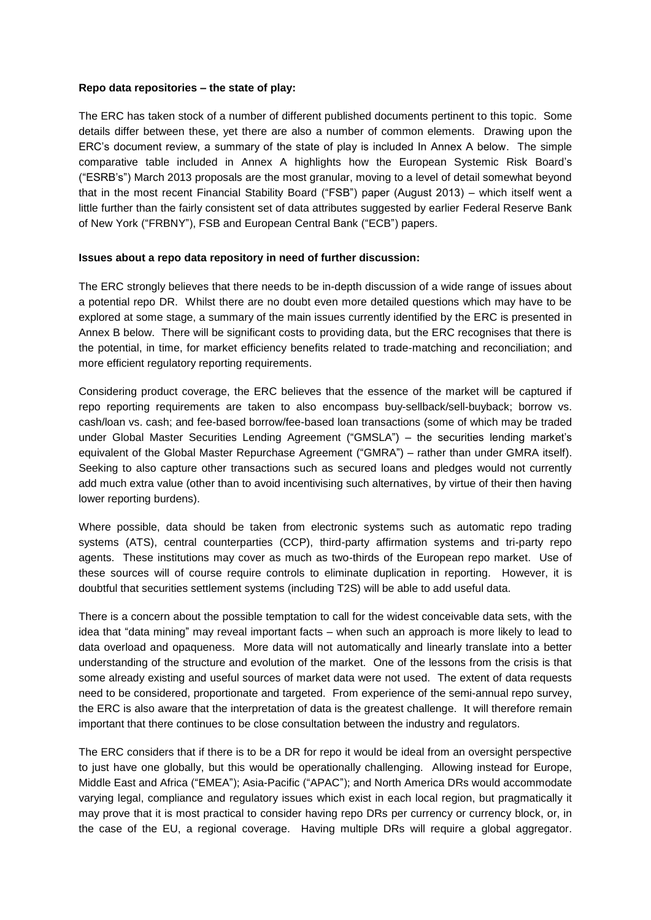#### **Repo data repositories – the state of play:**

The ERC has taken stock of a number of different published documents pertinent to this topic. Some details differ between these, yet there are also a number of common elements. Drawing upon the ERC's document review, a summary of the state of play is included In Annex A below. The simple comparative table included in Annex A highlights how the European Systemic Risk Board's ("ESRB's") March 2013 proposals are the most granular, moving to a level of detail somewhat beyond that in the most recent Financial Stability Board ("FSB") paper (August 2013) – which itself went a little further than the fairly consistent set of data attributes suggested by earlier Federal Reserve Bank of New York ("FRBNY"), FSB and European Central Bank ("ECB") papers.

#### **Issues about a repo data repository in need of further discussion:**

The ERC strongly believes that there needs to be in-depth discussion of a wide range of issues about a potential repo DR. Whilst there are no doubt even more detailed questions which may have to be explored at some stage, a summary of the main issues currently identified by the ERC is presented in Annex B below. There will be significant costs to providing data, but the ERC recognises that there is the potential, in time, for market efficiency benefits related to trade-matching and reconciliation; and more efficient regulatory reporting requirements.

Considering product coverage, the ERC believes that the essence of the market will be captured if repo reporting requirements are taken to also encompass buy-sellback/sell-buyback; borrow vs. cash/loan vs. cash; and fee-based borrow/fee-based loan transactions (some of which may be traded under Global Master Securities Lending Agreement ("GMSLA") – the securities lending market's equivalent of the Global Master Repurchase Agreement ("GMRA") – rather than under GMRA itself). Seeking to also capture other transactions such as secured loans and pledges would not currently add much extra value (other than to avoid incentivising such alternatives, by virtue of their then having lower reporting burdens).

Where possible, data should be taken from electronic systems such as automatic repo trading systems (ATS), central counterparties (CCP), third-party affirmation systems and tri-party repo agents. These institutions may cover as much as two-thirds of the European repo market. Use of these sources will of course require controls to eliminate duplication in reporting. However, it is doubtful that securities settlement systems (including T2S) will be able to add useful data.

There is a concern about the possible temptation to call for the widest conceivable data sets, with the idea that "data mining" may reveal important facts – when such an approach is more likely to lead to data overload and opaqueness. More data will not automatically and linearly translate into a better understanding of the structure and evolution of the market. One of the lessons from the crisis is that some already existing and useful sources of market data were not used. The extent of data requests need to be considered, proportionate and targeted. From experience of the semi-annual repo survey, the ERC is also aware that the interpretation of data is the greatest challenge. It will therefore remain important that there continues to be close consultation between the industry and regulators.

The ERC considers that if there is to be a DR for repo it would be ideal from an oversight perspective to just have one globally, but this would be operationally challenging. Allowing instead for Europe, Middle East and Africa ("EMEA"); Asia-Pacific ("APAC"); and North America DRs would accommodate varying legal, compliance and regulatory issues which exist in each local region, but pragmatically it may prove that it is most practical to consider having repo DRs per currency or currency block, or, in the case of the EU, a regional coverage. Having multiple DRs will require a global aggregator.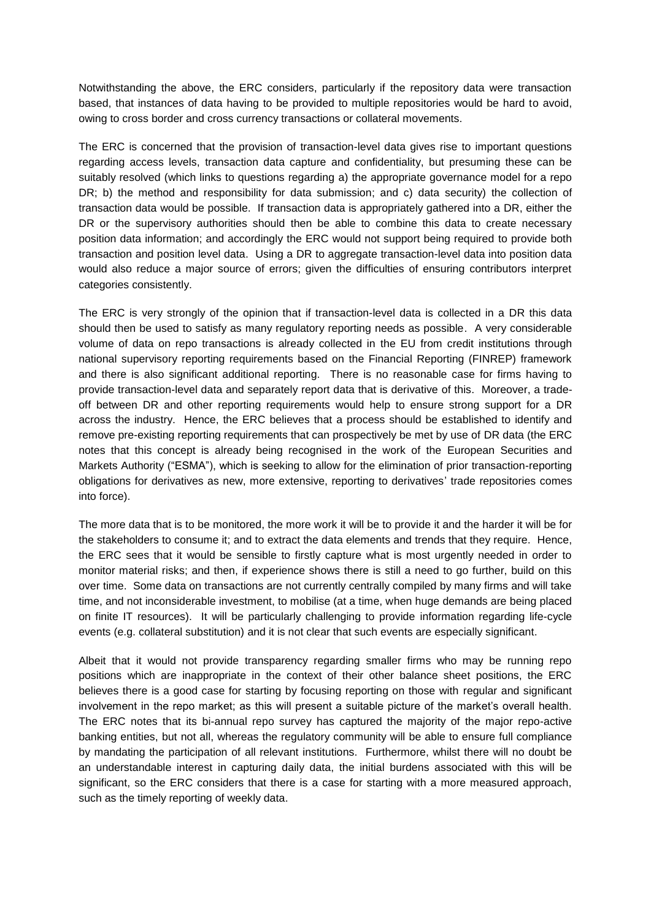Notwithstanding the above, the ERC considers, particularly if the repository data were transaction based, that instances of data having to be provided to multiple repositories would be hard to avoid, owing to cross border and cross currency transactions or collateral movements.

The ERC is concerned that the provision of transaction-level data gives rise to important questions regarding access levels, transaction data capture and confidentiality, but presuming these can be suitably resolved (which links to questions regarding a) the appropriate governance model for a repo DR; b) the method and responsibility for data submission; and c) data security) the collection of transaction data would be possible. If transaction data is appropriately gathered into a DR, either the DR or the supervisory authorities should then be able to combine this data to create necessary position data information; and accordingly the ERC would not support being required to provide both transaction and position level data. Using a DR to aggregate transaction-level data into position data would also reduce a major source of errors; given the difficulties of ensuring contributors interpret categories consistently.

The ERC is very strongly of the opinion that if transaction-level data is collected in a DR this data should then be used to satisfy as many regulatory reporting needs as possible. A very considerable volume of data on repo transactions is already collected in the EU from credit institutions through national supervisory reporting requirements based on the Financial Reporting (FINREP) framework and there is also significant additional reporting. There is no reasonable case for firms having to provide transaction-level data and separately report data that is derivative of this. Moreover, a tradeoff between DR and other reporting requirements would help to ensure strong support for a DR across the industry. Hence, the ERC believes that a process should be established to identify and remove pre-existing reporting requirements that can prospectively be met by use of DR data (the ERC notes that this concept is already being recognised in the work of the European Securities and Markets Authority ("ESMA"), which is seeking to allow for the elimination of prior transaction-reporting obligations for derivatives as new, more extensive, reporting to derivatives' trade repositories comes into force).

The more data that is to be monitored, the more work it will be to provide it and the harder it will be for the stakeholders to consume it; and to extract the data elements and trends that they require. Hence, the ERC sees that it would be sensible to firstly capture what is most urgently needed in order to monitor material risks; and then, if experience shows there is still a need to go further, build on this over time. Some data on transactions are not currently centrally compiled by many firms and will take time, and not inconsiderable investment, to mobilise (at a time, when huge demands are being placed on finite IT resources). It will be particularly challenging to provide information regarding life-cycle events (e.g. collateral substitution) and it is not clear that such events are especially significant.

Albeit that it would not provide transparency regarding smaller firms who may be running repo positions which are inappropriate in the context of their other balance sheet positions, the ERC believes there is a good case for starting by focusing reporting on those with regular and significant involvement in the repo market; as this will present a suitable picture of the market's overall health. The ERC notes that its bi-annual repo survey has captured the majority of the major repo-active banking entities, but not all, whereas the regulatory community will be able to ensure full compliance by mandating the participation of all relevant institutions. Furthermore, whilst there will no doubt be an understandable interest in capturing daily data, the initial burdens associated with this will be significant, so the ERC considers that there is a case for starting with a more measured approach, such as the timely reporting of weekly data.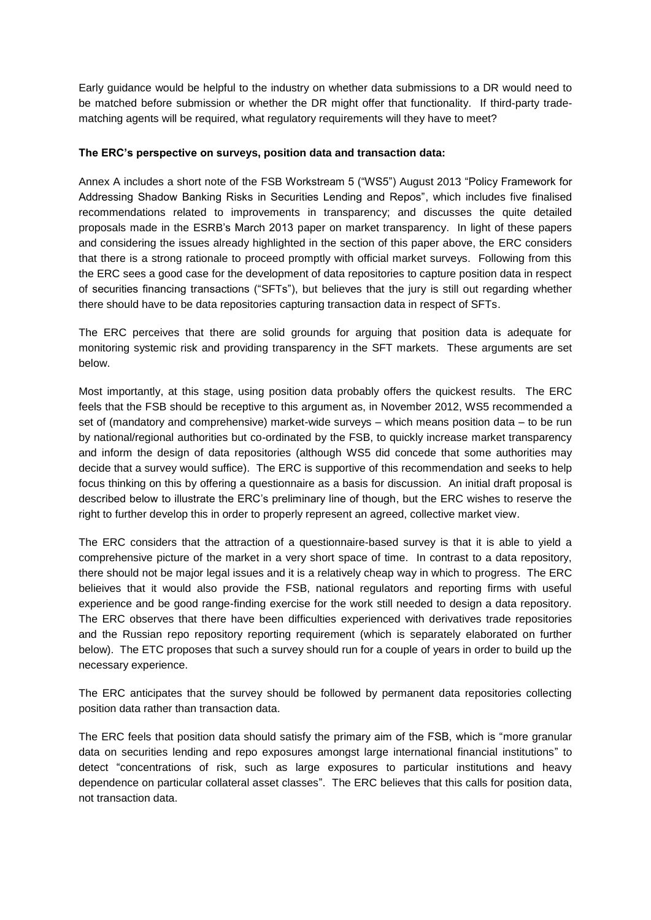Early guidance would be helpful to the industry on whether data submissions to a DR would need to be matched before submission or whether the DR might offer that functionality. If third-party tradematching agents will be required, what regulatory requirements will they have to meet?

### **The ERC's perspective on surveys, position data and transaction data:**

Annex A includes a short note of the FSB Workstream 5 ("WS5") August 2013 "Policy Framework for Addressing Shadow Banking Risks in Securities Lending and Repos", which includes five finalised recommendations related to improvements in transparency; and discusses the quite detailed proposals made in the ESRB's March 2013 paper on market transparency. In light of these papers and considering the issues already highlighted in the section of this paper above, the ERC considers that there is a strong rationale to proceed promptly with official market surveys. Following from this the ERC sees a good case for the development of data repositories to capture position data in respect of securities financing transactions ("SFTs"), but believes that the jury is still out regarding whether there should have to be data repositories capturing transaction data in respect of SFTs.

The ERC perceives that there are solid grounds for arguing that position data is adequate for monitoring systemic risk and providing transparency in the SFT markets. These arguments are set below.

Most importantly, at this stage, using position data probably offers the quickest results. The ERC feels that the FSB should be receptive to this argument as, in November 2012, WS5 recommended a set of (mandatory and comprehensive) market-wide surveys – which means position data – to be run by national/regional authorities but co-ordinated by the FSB, to quickly increase market transparency and inform the design of data repositories (although WS5 did concede that some authorities may decide that a survey would suffice). The ERC is supportive of this recommendation and seeks to help focus thinking on this by offering a questionnaire as a basis for discussion. An initial draft proposal is described below to illustrate the ERC's preliminary line of though, but the ERC wishes to reserve the right to further develop this in order to properly represent an agreed, collective market view.

The ERC considers that the attraction of a questionnaire-based survey is that it is able to yield a comprehensive picture of the market in a very short space of time. In contrast to a data repository, there should not be major legal issues and it is a relatively cheap way in which to progress. The ERC belieives that it would also provide the FSB, national regulators and reporting firms with useful experience and be good range-finding exercise for the work still needed to design a data repository. The ERC observes that there have been difficulties experienced with derivatives trade repositories and the Russian repo repository reporting requirement (which is separately elaborated on further below). The ETC proposes that such a survey should run for a couple of years in order to build up the necessary experience.

The ERC anticipates that the survey should be followed by permanent data repositories collecting position data rather than transaction data.

The ERC feels that position data should satisfy the primary aim of the FSB, which is "more granular data on securities lending and repo exposures amongst large international financial institutions" to detect "concentrations of risk, such as large exposures to particular institutions and heavy dependence on particular collateral asset classes". The ERC believes that this calls for position data, not transaction data.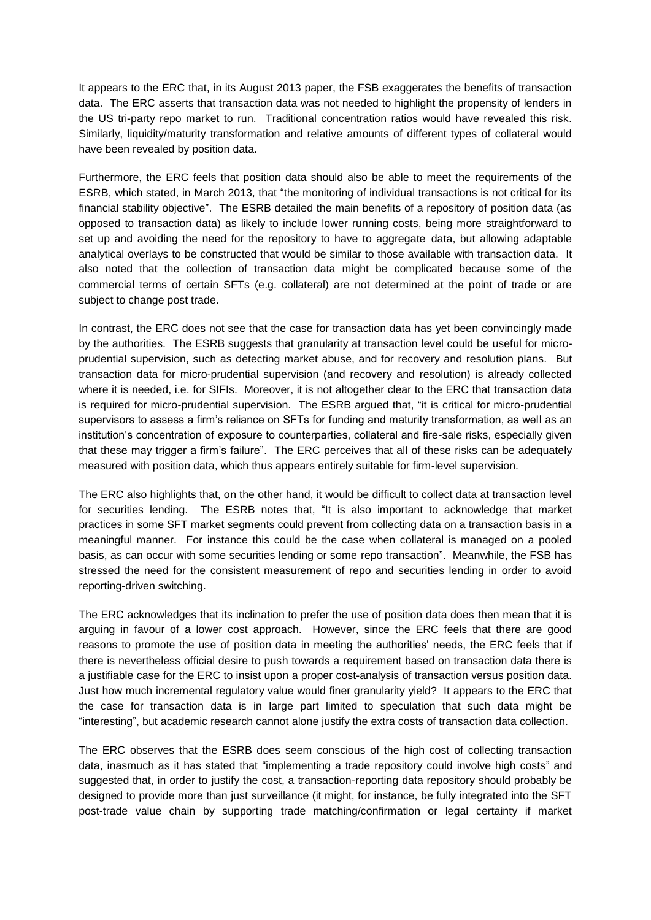It appears to the ERC that, in its August 2013 paper, the FSB exaggerates the benefits of transaction data. The ERC asserts that transaction data was not needed to highlight the propensity of lenders in the US tri-party repo market to run. Traditional concentration ratios would have revealed this risk. Similarly, liquidity/maturity transformation and relative amounts of different types of collateral would have been revealed by position data.

Furthermore, the ERC feels that position data should also be able to meet the requirements of the ESRB, which stated, in March 2013, that "the monitoring of individual transactions is not critical for its financial stability objective". The ESRB detailed the main benefits of a repository of position data (as opposed to transaction data) as likely to include lower running costs, being more straightforward to set up and avoiding the need for the repository to have to aggregate data, but allowing adaptable analytical overlays to be constructed that would be similar to those available with transaction data. It also noted that the collection of transaction data might be complicated because some of the commercial terms of certain SFTs (e.g. collateral) are not determined at the point of trade or are subject to change post trade.

In contrast, the ERC does not see that the case for transaction data has yet been convincingly made by the authorities. The ESRB suggests that granularity at transaction level could be useful for microprudential supervision, such as detecting market abuse, and for recovery and resolution plans. But transaction data for micro-prudential supervision (and recovery and resolution) is already collected where it is needed, i.e. for SIFIs. Moreover, it is not altogether clear to the ERC that transaction data is required for micro-prudential supervision. The ESRB argued that, "it is critical for micro-prudential supervisors to assess a firm's reliance on SFTs for funding and maturity transformation, as well as an institution's concentration of exposure to counterparties, collateral and fire-sale risks, especially given that these may trigger a firm's failure". The ERC perceives that all of these risks can be adequately measured with position data, which thus appears entirely suitable for firm-level supervision.

The ERC also highlights that, on the other hand, it would be difficult to collect data at transaction level for securities lending. The ESRB notes that, "It is also important to acknowledge that market practices in some SFT market segments could prevent from collecting data on a transaction basis in a meaningful manner. For instance this could be the case when collateral is managed on a pooled basis, as can occur with some securities lending or some repo transaction". Meanwhile, the FSB has stressed the need for the consistent measurement of repo and securities lending in order to avoid reporting-driven switching.

The ERC acknowledges that its inclination to prefer the use of position data does then mean that it is arguing in favour of a lower cost approach. However, since the ERC feels that there are good reasons to promote the use of position data in meeting the authorities' needs, the ERC feels that if there is nevertheless official desire to push towards a requirement based on transaction data there is a justifiable case for the ERC to insist upon a proper cost-analysis of transaction versus position data. Just how much incremental regulatory value would finer granularity yield? It appears to the ERC that the case for transaction data is in large part limited to speculation that such data might be "interesting", but academic research cannot alone justify the extra costs of transaction data collection.

The ERC observes that the ESRB does seem conscious of the high cost of collecting transaction data, inasmuch as it has stated that "implementing a trade repository could involve high costs" and suggested that, in order to justify the cost, a transaction-reporting data repository should probably be designed to provide more than just surveillance (it might, for instance, be fully integrated into the SFT post-trade value chain by supporting trade matching/confirmation or legal certainty if market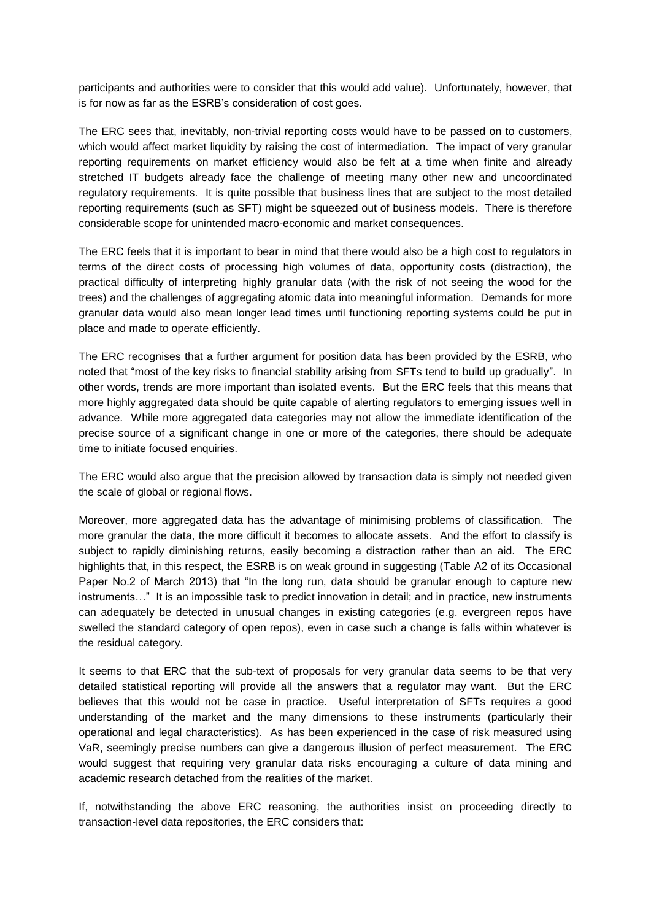participants and authorities were to consider that this would add value). Unfortunately, however, that is for now as far as the ESRB's consideration of cost goes.

The ERC sees that, inevitably, non-trivial reporting costs would have to be passed on to customers, which would affect market liquidity by raising the cost of intermediation. The impact of very granular reporting requirements on market efficiency would also be felt at a time when finite and already stretched IT budgets already face the challenge of meeting many other new and uncoordinated regulatory requirements. It is quite possible that business lines that are subject to the most detailed reporting requirements (such as SFT) might be squeezed out of business models. There is therefore considerable scope for unintended macro-economic and market consequences.

The ERC feels that it is important to bear in mind that there would also be a high cost to regulators in terms of the direct costs of processing high volumes of data, opportunity costs (distraction), the practical difficulty of interpreting highly granular data (with the risk of not seeing the wood for the trees) and the challenges of aggregating atomic data into meaningful information. Demands for more granular data would also mean longer lead times until functioning reporting systems could be put in place and made to operate efficiently.

The ERC recognises that a further argument for position data has been provided by the ESRB, who noted that "most of the key risks to financial stability arising from SFTs tend to build up gradually". In other words, trends are more important than isolated events. But the ERC feels that this means that more highly aggregated data should be quite capable of alerting regulators to emerging issues well in advance. While more aggregated data categories may not allow the immediate identification of the precise source of a significant change in one or more of the categories, there should be adequate time to initiate focused enquiries.

The ERC would also argue that the precision allowed by transaction data is simply not needed given the scale of global or regional flows.

Moreover, more aggregated data has the advantage of minimising problems of classification. The more granular the data, the more difficult it becomes to allocate assets. And the effort to classify is subject to rapidly diminishing returns, easily becoming a distraction rather than an aid. The ERC highlights that, in this respect, the ESRB is on weak ground in suggesting (Table A2 of its Occasional Paper No.2 of March 2013) that "In the long run, data should be granular enough to capture new instruments…" It is an impossible task to predict innovation in detail; and in practice, new instruments can adequately be detected in unusual changes in existing categories (e.g. evergreen repos have swelled the standard category of open repos), even in case such a change is falls within whatever is the residual category.

It seems to that ERC that the sub-text of proposals for very granular data seems to be that very detailed statistical reporting will provide all the answers that a regulator may want. But the ERC believes that this would not be case in practice. Useful interpretation of SFTs requires a good understanding of the market and the many dimensions to these instruments (particularly their operational and legal characteristics). As has been experienced in the case of risk measured using VaR, seemingly precise numbers can give a dangerous illusion of perfect measurement. The ERC would suggest that requiring very granular data risks encouraging a culture of data mining and academic research detached from the realities of the market.

If, notwithstanding the above ERC reasoning, the authorities insist on proceeding directly to transaction-level data repositories, the ERC considers that: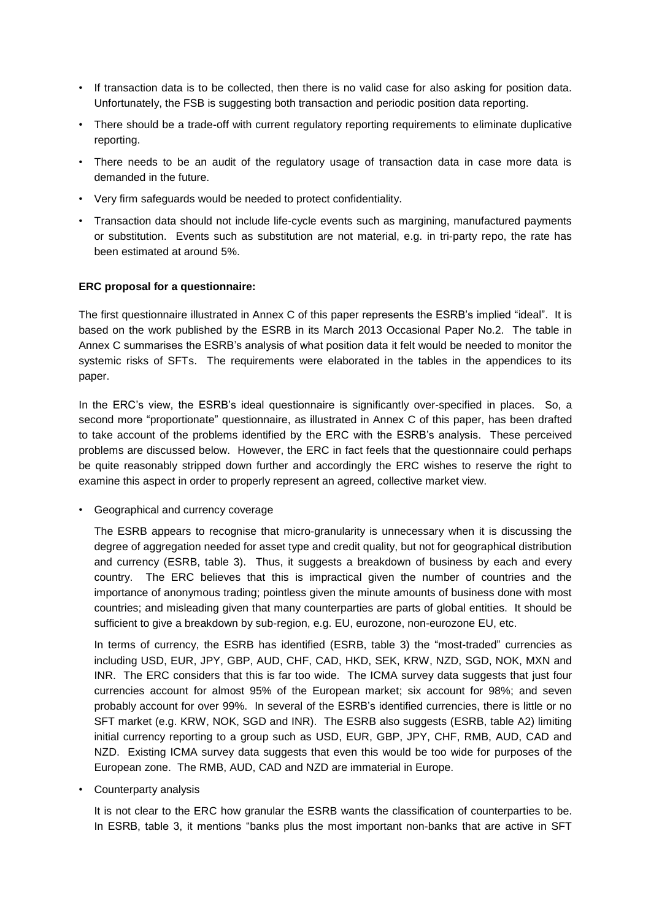- If transaction data is to be collected, then there is no valid case for also asking for position data. Unfortunately, the FSB is suggesting both transaction and periodic position data reporting.
- There should be a trade-off with current regulatory reporting requirements to eliminate duplicative reporting.
- There needs to be an audit of the regulatory usage of transaction data in case more data is demanded in the future.
- Very firm safeguards would be needed to protect confidentiality.
- Transaction data should not include life-cycle events such as margining, manufactured payments or substitution. Events such as substitution are not material, e.g. in tri-party repo, the rate has been estimated at around 5%.

#### **ERC proposal for a questionnaire:**

The first questionnaire illustrated in Annex C of this paper represents the ESRB's implied "ideal". It is based on the work published by the ESRB in its March 2013 Occasional Paper No.2. The table in Annex C summarises the ESRB's analysis of what position data it felt would be needed to monitor the systemic risks of SFTs. The requirements were elaborated in the tables in the appendices to its paper.

In the ERC's view, the ESRB's ideal questionnaire is significantly over-specified in places. So, a second more "proportionate" questionnaire, as illustrated in Annex C of this paper, has been drafted to take account of the problems identified by the ERC with the ESRB's analysis. These perceived problems are discussed below. However, the ERC in fact feels that the questionnaire could perhaps be quite reasonably stripped down further and accordingly the ERC wishes to reserve the right to examine this aspect in order to properly represent an agreed, collective market view.

• Geographical and currency coverage

The ESRB appears to recognise that micro-granularity is unnecessary when it is discussing the degree of aggregation needed for asset type and credit quality, but not for geographical distribution and currency (ESRB, table 3). Thus, it suggests a breakdown of business by each and every country. The ERC believes that this is impractical given the number of countries and the importance of anonymous trading; pointless given the minute amounts of business done with most countries; and misleading given that many counterparties are parts of global entities. It should be sufficient to give a breakdown by sub-region, e.g. EU, eurozone, non-eurozone EU, etc.

In terms of currency, the ESRB has identified (ESRB, table 3) the "most-traded" currencies as including USD, EUR, JPY, GBP, AUD, CHF, CAD, HKD, SEK, KRW, NZD, SGD, NOK, MXN and INR. The ERC considers that this is far too wide. The ICMA survey data suggests that just four currencies account for almost 95% of the European market; six account for 98%; and seven probably account for over 99%. In several of the ESRB's identified currencies, there is little or no SFT market (e.g. KRW, NOK, SGD and INR). The ESRB also suggests (ESRB, table A2) limiting initial currency reporting to a group such as USD, EUR, GBP, JPY, CHF, RMB, AUD, CAD and NZD. Existing ICMA survey data suggests that even this would be too wide for purposes of the European zone. The RMB, AUD, CAD and NZD are immaterial in Europe.

• Counterparty analysis

It is not clear to the ERC how granular the ESRB wants the classification of counterparties to be. In ESRB, table 3, it mentions "banks plus the most important non-banks that are active in SFT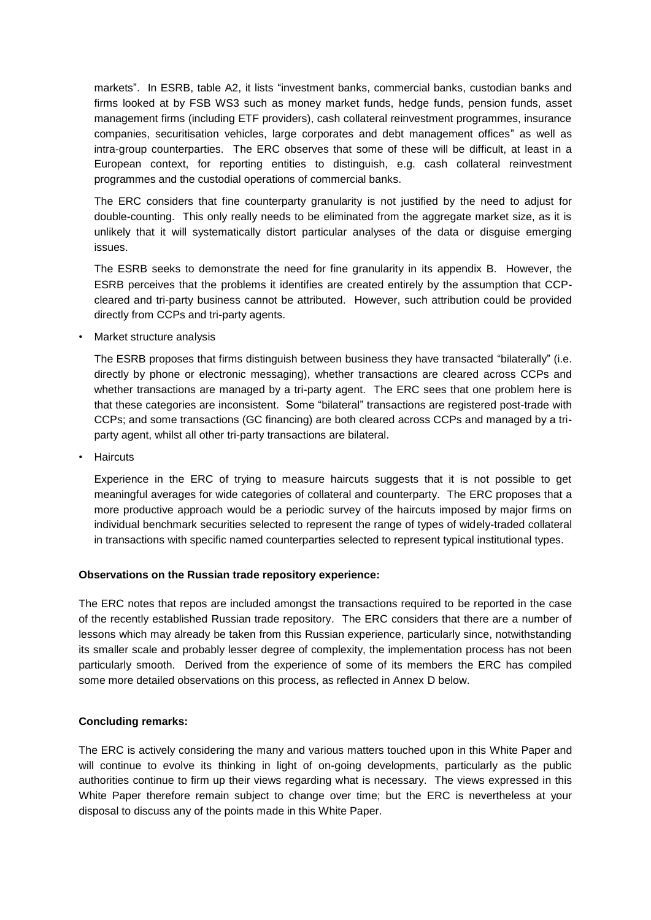markets". In ESRB, table A2, it lists "investment banks, commercial banks, custodian banks and firms looked at by FSB WS3 such as money market funds, hedge funds, pension funds, asset management firms (including ETF providers), cash collateral reinvestment programmes, insurance companies, securitisation vehicles, large corporates and debt management offices" as well as intra-group counterparties. The ERC observes that some of these will be difficult, at least in a European context, for reporting entities to distinguish, e.g. cash collateral reinvestment programmes and the custodial operations of commercial banks.

The ERC considers that fine counterparty granularity is not justified by the need to adjust for double-counting. This only really needs to be eliminated from the aggregate market size, as it is unlikely that it will systematically distort particular analyses of the data or disguise emerging issues.

The ESRB seeks to demonstrate the need for fine granularity in its appendix B. However, the ESRB perceives that the problems it identifies are created entirely by the assumption that CCPcleared and tri-party business cannot be attributed. However, such attribution could be provided directly from CCPs and tri-party agents.

• Market structure analysis

The ESRB proposes that firms distinguish between business they have transacted "bilaterally" (i.e. directly by phone or electronic messaging), whether transactions are cleared across CCPs and whether transactions are managed by a tri-party agent. The ERC sees that one problem here is that these categories are inconsistent. Some "bilateral" transactions are registered post-trade with CCPs; and some transactions (GC financing) are both cleared across CCPs and managed by a triparty agent, whilst all other tri-party transactions are bilateral.

• Haircuts

Experience in the ERC of trying to measure haircuts suggests that it is not possible to get meaningful averages for wide categories of collateral and counterparty. The ERC proposes that a more productive approach would be a periodic survey of the haircuts imposed by major firms on individual benchmark securities selected to represent the range of types of widely-traded collateral in transactions with specific named counterparties selected to represent typical institutional types.

### **Observations on the Russian trade repository experience:**

The ERC notes that repos are included amongst the transactions required to be reported in the case of the recently established Russian trade repository. The ERC considers that there are a number of lessons which may already be taken from this Russian experience, particularly since, notwithstanding its smaller scale and probably lesser degree of complexity, the implementation process has not been particularly smooth. Derived from the experience of some of its members the ERC has compiled some more detailed observations on this process, as reflected in Annex D below.

### **Concluding remarks:**

The ERC is actively considering the many and various matters touched upon in this White Paper and will continue to evolve its thinking in light of on-going developments, particularly as the public authorities continue to firm up their views regarding what is necessary. The views expressed in this White Paper therefore remain subject to change over time; but the ERC is nevertheless at your disposal to discuss any of the points made in this White Paper.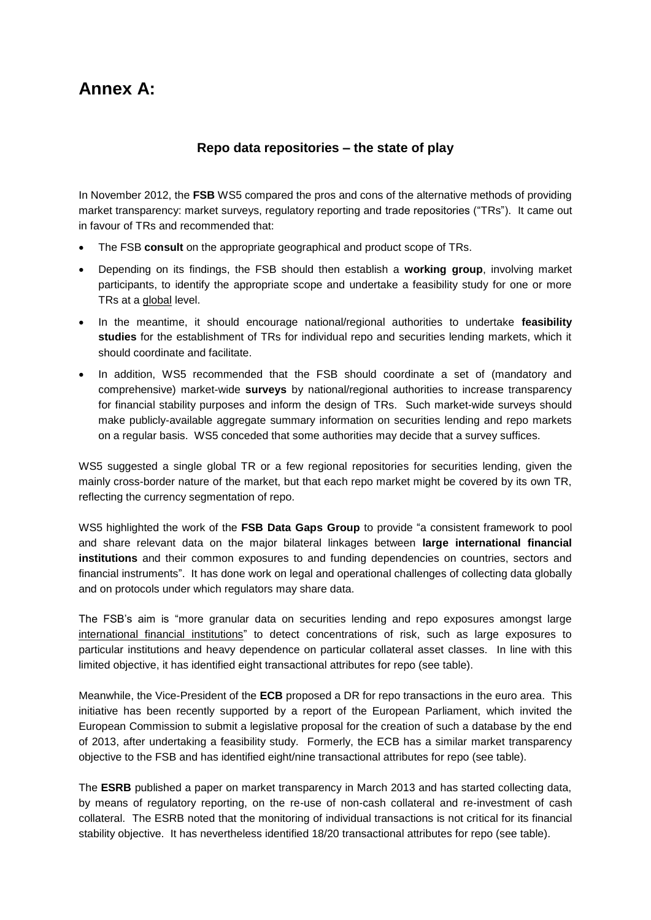## **Annex A:**

## **Repo data repositories – the state of play**

In November 2012, the **FSB** WS5 compared the pros and cons of the alternative methods of providing market transparency: market surveys, regulatory reporting and trade repositories ("TRs"). It came out in favour of TRs and recommended that:

- The FSB **consult** on the appropriate geographical and product scope of TRs.
- Depending on its findings, the FSB should then establish a **working group**, involving market participants, to identify the appropriate scope and undertake a feasibility study for one or more TRs at a global level.
- In the meantime, it should encourage national/regional authorities to undertake **feasibility studies** for the establishment of TRs for individual repo and securities lending markets, which it should coordinate and facilitate.
- In addition, WS5 recommended that the FSB should coordinate a set of (mandatory and comprehensive) market-wide **surveys** by national/regional authorities to increase transparency for financial stability purposes and inform the design of TRs. Such market-wide surveys should make publicly-available aggregate summary information on securities lending and repo markets on a regular basis. WS5 conceded that some authorities may decide that a survey suffices.

WS5 suggested a single global TR or a few regional repositories for securities lending, given the mainly cross-border nature of the market, but that each repo market might be covered by its own TR, reflecting the currency segmentation of repo.

WS5 highlighted the work of the **FSB Data Gaps Group** to provide "a consistent framework to pool and share relevant data on the major bilateral linkages between **large international financial institutions** and their common exposures to and funding dependencies on countries, sectors and financial instruments". It has done work on legal and operational challenges of collecting data globally and on protocols under which regulators may share data.

The FSB's aim is "more granular data on securities lending and repo exposures amongst large international financial institutions" to detect concentrations of risk, such as large exposures to particular institutions and heavy dependence on particular collateral asset classes. In line with this limited objective, it has identified eight transactional attributes for repo (see table).

Meanwhile, the Vice-President of the **ECB** proposed a DR for repo transactions in the euro area. This initiative has been recently supported by a report of the European Parliament, which invited the European Commission to submit a legislative proposal for the creation of such a database by the end of 2013, after undertaking a feasibility study. Formerly, the ECB has a similar market transparency objective to the FSB and has identified eight/nine transactional attributes for repo (see table).

The **ESRB** published a paper on market transparency in March 2013 and has started collecting data, by means of regulatory reporting, on the re-use of non-cash collateral and re-investment of cash collateral. The ESRB noted that the monitoring of individual transactions is not critical for its financial stability objective. It has nevertheless identified 18/20 transactional attributes for repo (see table).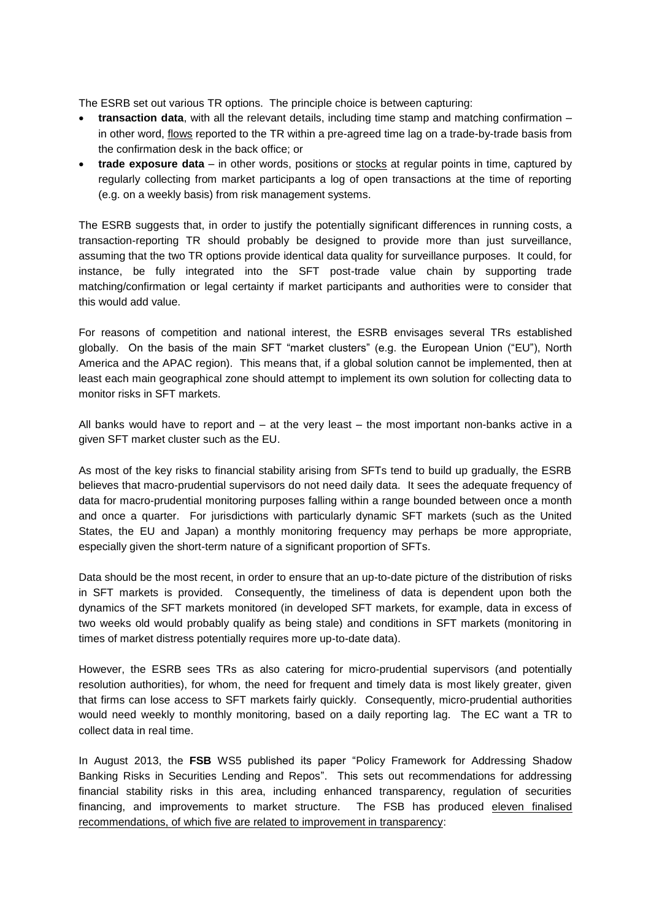The ESRB set out various TR options. The principle choice is between capturing:

- **transaction data**, with all the relevant details, including time stamp and matching confirmation in other word, flows reported to the TR within a pre-agreed time lag on a trade-by-trade basis from the confirmation desk in the back office; or
- **trade exposure data** in other words, positions or stocks at regular points in time, captured by regularly collecting from market participants a log of open transactions at the time of reporting (e.g. on a weekly basis) from risk management systems.

The ESRB suggests that, in order to justify the potentially significant differences in running costs, a transaction-reporting TR should probably be designed to provide more than just surveillance, assuming that the two TR options provide identical data quality for surveillance purposes. It could, for instance, be fully integrated into the SFT post-trade value chain by supporting trade matching/confirmation or legal certainty if market participants and authorities were to consider that this would add value.

For reasons of competition and national interest, the ESRB envisages several TRs established globally. On the basis of the main SFT "market clusters" (e.g. the European Union ("EU"), North America and the APAC region). This means that, if a global solution cannot be implemented, then at least each main geographical zone should attempt to implement its own solution for collecting data to monitor risks in SFT markets.

All banks would have to report and  $-$  at the very least  $-$  the most important non-banks active in a given SFT market cluster such as the EU.

As most of the key risks to financial stability arising from SFTs tend to build up gradually, the ESRB believes that macro-prudential supervisors do not need daily data. It sees the adequate frequency of data for macro-prudential monitoring purposes falling within a range bounded between once a month and once a quarter. For jurisdictions with particularly dynamic SFT markets (such as the United States, the EU and Japan) a monthly monitoring frequency may perhaps be more appropriate, especially given the short-term nature of a significant proportion of SFTs.

Data should be the most recent, in order to ensure that an up-to-date picture of the distribution of risks in SFT markets is provided. Consequently, the timeliness of data is dependent upon both the dynamics of the SFT markets monitored (in developed SFT markets, for example, data in excess of two weeks old would probably qualify as being stale) and conditions in SFT markets (monitoring in times of market distress potentially requires more up-to-date data).

However, the ESRB sees TRs as also catering for micro-prudential supervisors (and potentially resolution authorities), for whom, the need for frequent and timely data is most likely greater, given that firms can lose access to SFT markets fairly quickly. Consequently, micro-prudential authorities would need weekly to monthly monitoring, based on a daily reporting lag. The EC want a TR to collect data in real time.

In August 2013, the **FSB** WS5 published its paper "Policy Framework for Addressing Shadow Banking Risks in Securities Lending and Repos". This sets out recommendations for addressing financial stability risks in this area, including enhanced transparency, regulation of securities financing, and improvements to market structure. The FSB has produced eleven finalised recommendations, of which five are related to improvement in transparency: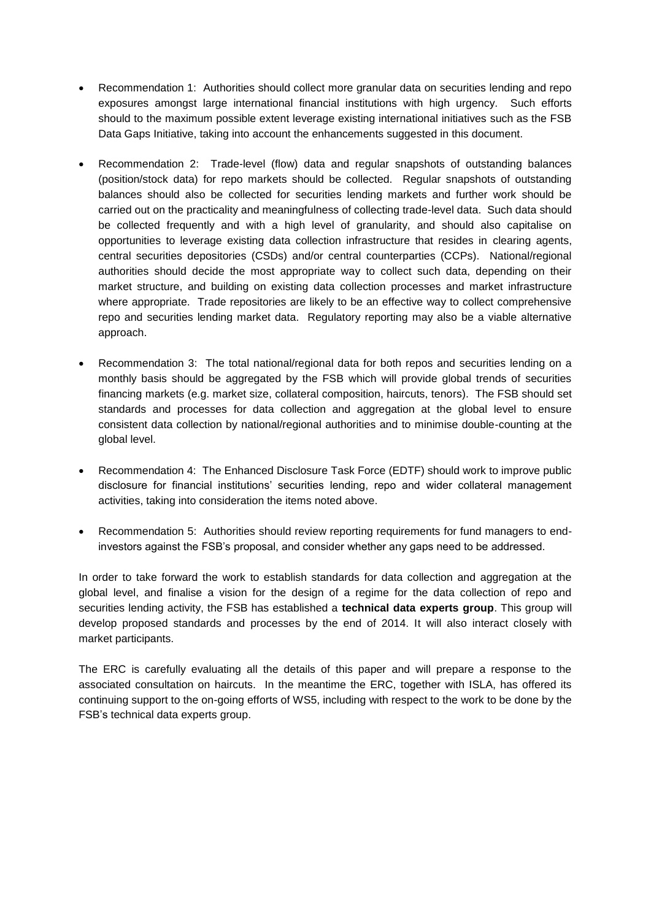- Recommendation 1: Authorities should collect more granular data on securities lending and repo exposures amongst large international financial institutions with high urgency. Such efforts should to the maximum possible extent leverage existing international initiatives such as the FSB Data Gaps Initiative, taking into account the enhancements suggested in this document.
- Recommendation 2: Trade-level (flow) data and regular snapshots of outstanding balances (position/stock data) for repo markets should be collected. Regular snapshots of outstanding balances should also be collected for securities lending markets and further work should be carried out on the practicality and meaningfulness of collecting trade-level data. Such data should be collected frequently and with a high level of granularity, and should also capitalise on opportunities to leverage existing data collection infrastructure that resides in clearing agents, central securities depositories (CSDs) and/or central counterparties (CCPs). National/regional authorities should decide the most appropriate way to collect such data, depending on their market structure, and building on existing data collection processes and market infrastructure where appropriate. Trade repositories are likely to be an effective way to collect comprehensive repo and securities lending market data. Regulatory reporting may also be a viable alternative approach.
- Recommendation 3: The total national/regional data for both repos and securities lending on a monthly basis should be aggregated by the FSB which will provide global trends of securities financing markets (e.g. market size, collateral composition, haircuts, tenors). The FSB should set standards and processes for data collection and aggregation at the global level to ensure consistent data collection by national/regional authorities and to minimise double-counting at the global level.
- Recommendation 4: The Enhanced Disclosure Task Force (EDTF) should work to improve public disclosure for financial institutions' securities lending, repo and wider collateral management activities, taking into consideration the items noted above.
- Recommendation 5: Authorities should review reporting requirements for fund managers to endinvestors against the FSB's proposal, and consider whether any gaps need to be addressed.

In order to take forward the work to establish standards for data collection and aggregation at the global level, and finalise a vision for the design of a regime for the data collection of repo and securities lending activity, the FSB has established a **technical data experts group**. This group will develop proposed standards and processes by the end of 2014. It will also interact closely with market participants.

The ERC is carefully evaluating all the details of this paper and will prepare a response to the associated consultation on haircuts. In the meantime the ERC, together with ISLA, has offered its continuing support to the on-going efforts of WS5, including with respect to the work to be done by the FSB's technical data experts group.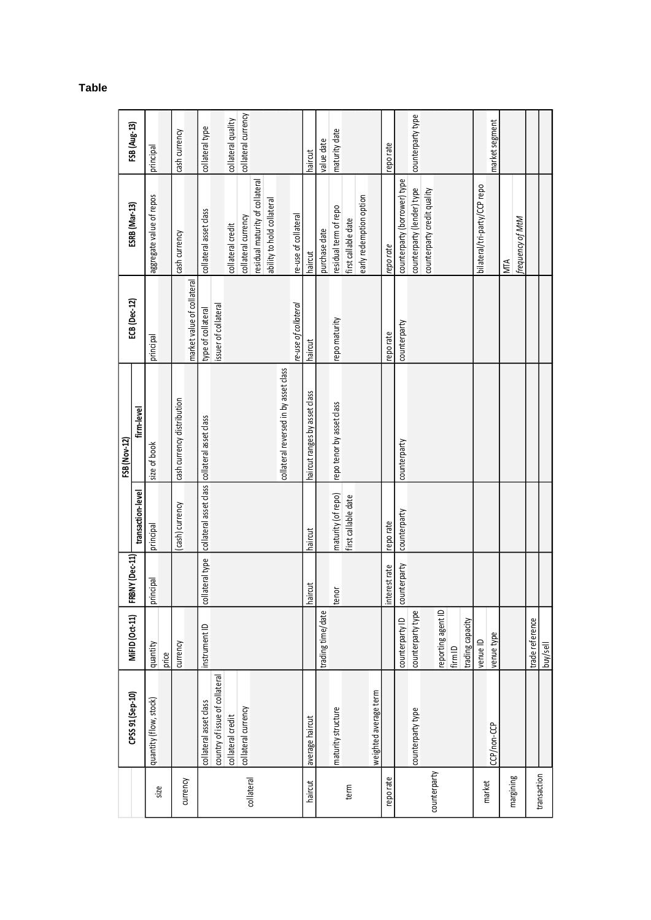|              |                                |                    |                 |                     | FSB (Nov-12)                                  |                            |                                 |                     |
|--------------|--------------------------------|--------------------|-----------------|---------------------|-----------------------------------------------|----------------------------|---------------------------------|---------------------|
|              | CPSS 91 (Sep-10)               | MiFID (Oct-11)     | FRBNY (Dec-11)  | transaction-level   | firm-level                                    | ECB (Dec-12)               | <b>ESRB</b> (Mar-13)            | FSB (Aug-13)        |
| size         | quantity (flow, stock)         | quantity           | principal       | principal           | size of book                                  | principal                  | aggregate value of repos        | principal           |
|              |                                | price              |                 |                     |                                               |                            |                                 |                     |
| currency     |                                | currency           |                 | cash) currency      | cash currency distribution                    |                            | cash currency                   | cash currency       |
|              |                                |                    |                 |                     |                                               | market value of collateral |                                 |                     |
|              | collateral asset class         | instrument ID      | collateral type |                     | collateral asset class collateral asset class | type of collateral         | collateral asset class          | collateral type     |
|              | country of issue of collateral |                    |                 |                     |                                               | issuer of collateral       |                                 |                     |
|              | collateral credit              |                    |                 |                     |                                               |                            | collateral credit               | collateral quality  |
|              | collateral currency            |                    |                 |                     |                                               |                            | collateral currency             | collateral currency |
| collateral   |                                |                    |                 |                     |                                               |                            | residual maturity of collateral |                     |
|              |                                |                    |                 |                     |                                               |                            | ability to hold collateral      |                     |
|              |                                |                    |                 |                     | collateral reversed in by asset class         |                            |                                 |                     |
|              |                                |                    |                 |                     |                                               | re-use of collateral       | re-use of collateral            |                     |
| haircut      | average haircut                |                    | haircut         | haircut             | haircut ranges by asset class                 | haircut                    | haircut                         | haircut             |
|              |                                | trading time/date  |                 |                     |                                               |                            | purchase date                   | value date          |
|              | maturity structure             |                    | tenor           | maturity (of repo)  | repo tenor by asset class                     | repo maturity              | residual term of repo           | maturity date       |
| term         |                                |                    |                 | first callable date |                                               |                            | first callable date             |                     |
|              |                                |                    |                 |                     |                                               |                            | early redemption option         |                     |
|              | weighted average term          |                    |                 |                     |                                               |                            |                                 |                     |
| reporate     |                                |                    | interest rate   | repo rate           |                                               | reporate                   | reporate                        | epo rate            |
|              |                                | counterparty ID    | counterparty    | counterparty        | counterparty                                  | counterparty               | counterparty (borrower) type    |                     |
|              | counterparty type              | counterparty type  |                 |                     |                                               |                            | counterparty (lender) type      | counterparty type   |
| counterparty |                                | reporting agent ID |                 |                     |                                               |                            | counterparty credit quality     |                     |
|              |                                |                    |                 |                     |                                               |                            |                                 |                     |
|              |                                | fim <sub>ID</sub>  |                 |                     |                                               |                            |                                 |                     |
|              |                                | trading capacity   |                 |                     |                                               |                            |                                 |                     |
| market       |                                | venue ID           |                 |                     |                                               |                            | bilateral/tri-party/CCP repo    |                     |
|              | CCP/non-CCP                    | venue type         |                 |                     |                                               |                            |                                 | market segment      |
| margining    |                                |                    |                 |                     |                                               |                            | <b>NTA</b>                      |                     |
|              |                                |                    |                 |                     |                                               |                            | frequency of MtM                |                     |
| transaction  |                                | trade reference    |                 |                     |                                               |                            |                                 |                     |
|              |                                | buy/sell           |                 |                     |                                               |                            |                                 |                     |

#### **Table**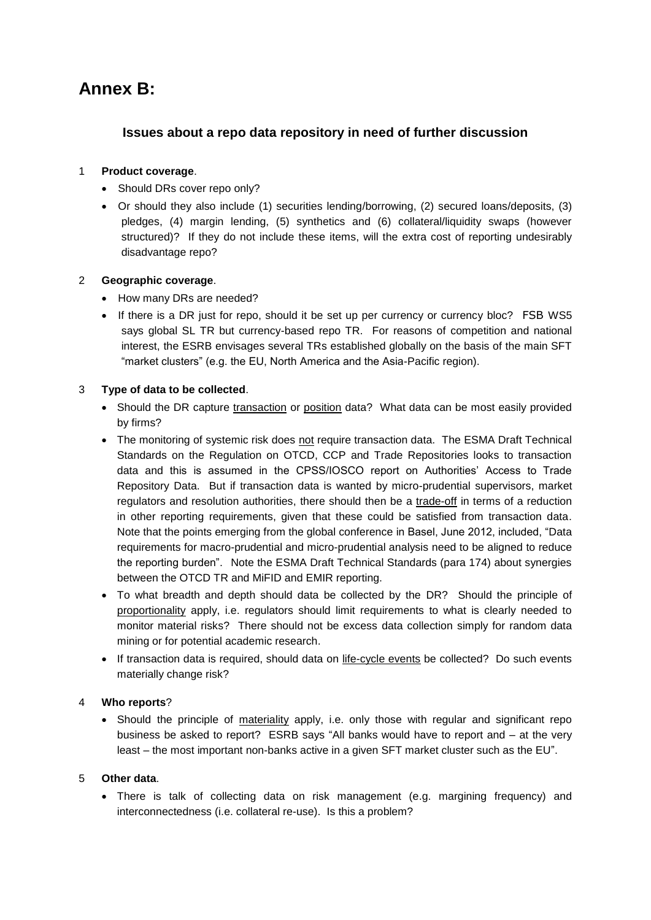# **Annex B:**

## **Issues about a repo data repository in need of further discussion**

## 1 **Product coverage**.

- Should DRs cover repo only?
- Or should they also include (1) securities lending/borrowing, (2) secured loans/deposits, (3) pledges, (4) margin lending, (5) synthetics and (6) collateral/liquidity swaps (however structured)? If they do not include these items, will the extra cost of reporting undesirably disadvantage repo?

## 2 **Geographic coverage**.

- How many DRs are needed?
- If there is a DR just for repo, should it be set up per currency or currency bloc? FSB WS5 says global SL TR but currency-based repo TR. For reasons of competition and national interest, the ESRB envisages several TRs established globally on the basis of the main SFT "market clusters" (e.g. the EU, North America and the Asia-Pacific region).

## 3 **Type of data to be collected**.

- Should the DR capture transaction or position data? What data can be most easily provided by firms?
- The monitoring of systemic risk does not require transaction data. The ESMA Draft Technical Standards on the Regulation on OTCD, CCP and Trade Repositories looks to transaction data and this is assumed in the CPSS/IOSCO report on Authorities' Access to Trade Repository Data. But if transaction data is wanted by micro-prudential supervisors, market regulators and resolution authorities, there should then be a trade-off in terms of a reduction in other reporting requirements, given that these could be satisfied from transaction data. Note that the points emerging from the global conference in Basel, June 2012, included, "Data requirements for macro-prudential and micro-prudential analysis need to be aligned to reduce the reporting burden". Note the ESMA Draft Technical Standards (para 174) about synergies between the OTCD TR and MiFID and EMIR reporting.
- To what breadth and depth should data be collected by the DR? Should the principle of proportionality apply, i.e. regulators should limit requirements to what is clearly needed to monitor material risks? There should not be excess data collection simply for random data mining or for potential academic research.
- If transaction data is required, should data on life-cycle events be collected? Do such events materially change risk?

## 4 **Who reports**?

• Should the principle of materiality apply, i.e. only those with regular and significant repo business be asked to report? ESRB says "All banks would have to report and – at the very least – the most important non-banks active in a given SFT market cluster such as the EU".

## 5 **Other data**.

 There is talk of collecting data on risk management (e.g. margining frequency) and interconnectedness (i.e. collateral re-use). Is this a problem?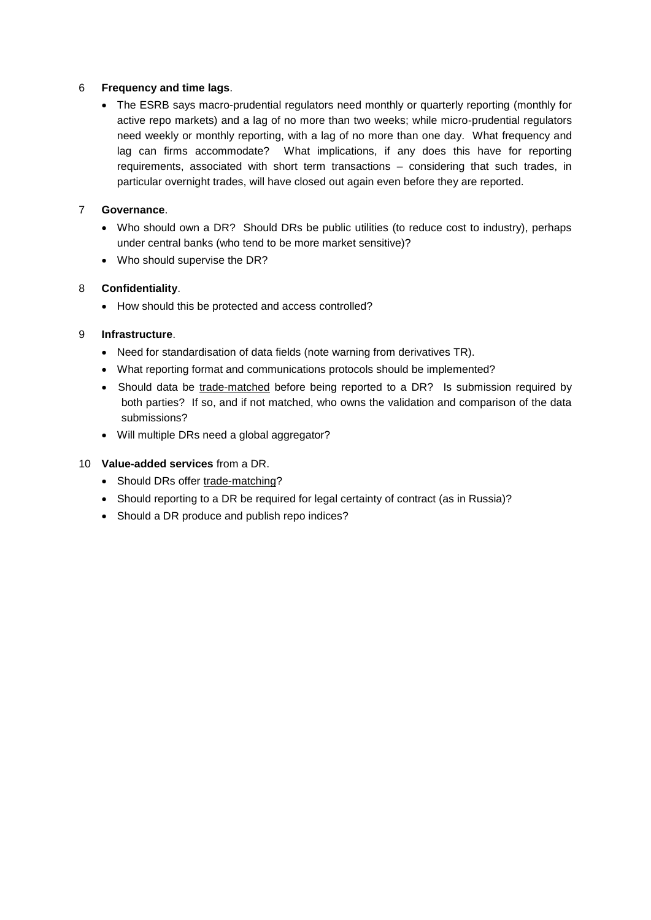### 6 **Frequency and time lags**.

 The ESRB says macro-prudential regulators need monthly or quarterly reporting (monthly for active repo markets) and a lag of no more than two weeks; while micro-prudential regulators need weekly or monthly reporting, with a lag of no more than one day. What frequency and lag can firms accommodate? What implications, if any does this have for reporting requirements, associated with short term transactions – considering that such trades, in particular overnight trades, will have closed out again even before they are reported.

## 7 **Governance**.

- Who should own a DR? Should DRs be public utilities (to reduce cost to industry), perhaps under central banks (who tend to be more market sensitive)?
- Who should supervise the DR?

### 8 **Confidentiality**.

• How should this be protected and access controlled?

## 9 **Infrastructure**.

- Need for standardisation of data fields (note warning from derivatives TR).
- What reporting format and communications protocols should be implemented?
- Should data be trade-matched before being reported to a DR? Is submission required by both parties? If so, and if not matched, who owns the validation and comparison of the data submissions?
- Will multiple DRs need a global aggregator?

## 10 **Value-added services** from a DR.

- Should DRs offer trade-matching?
- Should reporting to a DR be required for legal certainty of contract (as in Russia)?
- Should a DR produce and publish repo indices?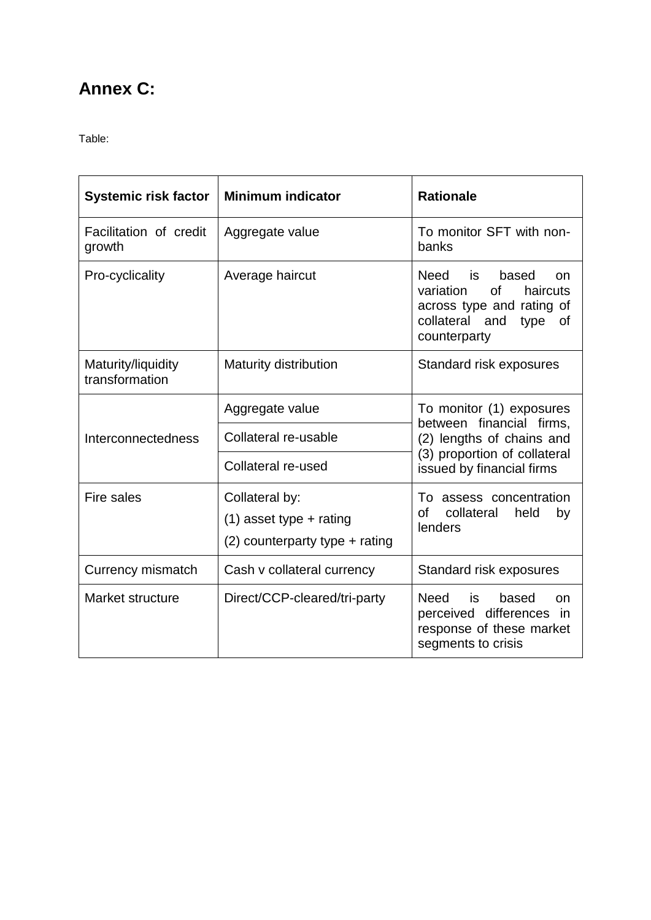# **Annex C:**

Table:

| <b>Systemic risk factor</b>          | <b>Minimum indicator</b>         | <b>Rationale</b>                                                                                                                           |
|--------------------------------------|----------------------------------|--------------------------------------------------------------------------------------------------------------------------------------------|
| Facilitation of credit<br>growth     | Aggregate value                  | To monitor SFT with non-<br>banks                                                                                                          |
| Pro-cyclicality                      | Average haircut                  | Need is<br>based<br>on.<br>variation<br><b>of</b><br>haircuts<br>across type and rating of<br>collateral and<br>type<br>οf<br>counterparty |
| Maturity/liquidity<br>transformation | <b>Maturity distribution</b>     | Standard risk exposures                                                                                                                    |
|                                      | Aggregate value                  | To monitor (1) exposures                                                                                                                   |
| Interconnectedness                   | Collateral re-usable             | between financial firms,<br>(2) lengths of chains and                                                                                      |
|                                      | Collateral re-used               | (3) proportion of collateral<br>issued by financial firms                                                                                  |
| Fire sales                           | Collateral by:                   | To assess concentration<br>of                                                                                                              |
|                                      | $(1)$ asset type + rating        | collateral<br>held<br>by<br>lenders                                                                                                        |
|                                      | $(2)$ counterparty type + rating |                                                                                                                                            |
| Currency mismatch                    | Cash v collateral currency       | Standard risk exposures                                                                                                                    |
| Market structure                     | Direct/CCP-cleared/tri-party     | Need<br>based<br>is<br>on<br>perceived differences<br>in.<br>response of these market<br>segments to crisis                                |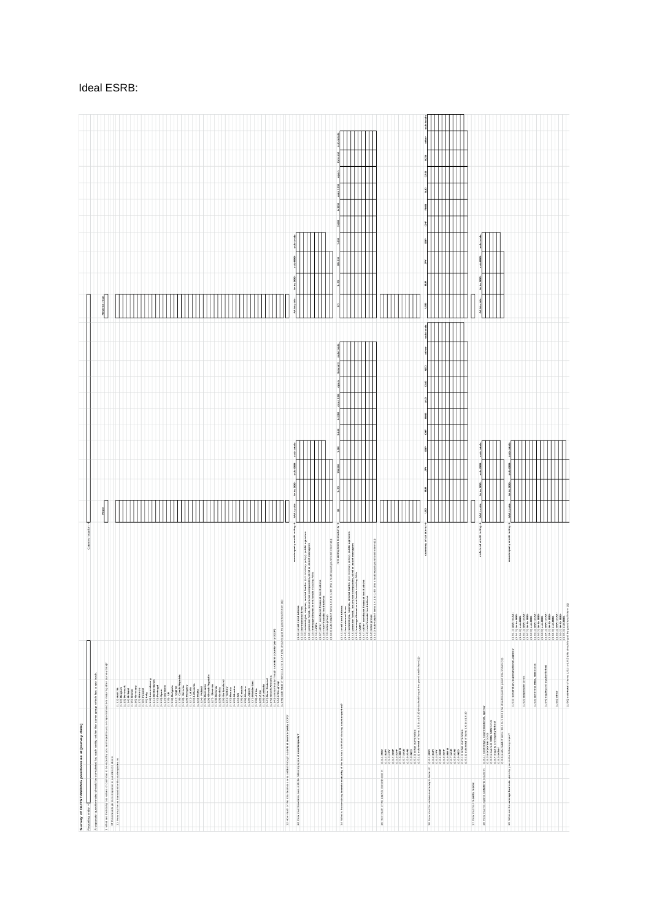| Survey of OUTSTANDING positions as at [survey date]                                                                                                                                                                                                                                                                                                                                     |                                                                                                                                                                                                                                                      |                                                 |                                                             |
|-----------------------------------------------------------------------------------------------------------------------------------------------------------------------------------------------------------------------------------------------------------------------------------------------------------------------------------------------------------------------------------------|------------------------------------------------------------------------------------------------------------------------------------------------------------------------------------------------------------------------------------------------------|-------------------------------------------------|-------------------------------------------------------------|
| A separate questionnaire should be completed by each entity within the same group which has a rpobook.<br>Reporting entity =                                                                                                                                                                                                                                                            | Country location =                                                                                                                                                                                                                                   |                                                 |                                                             |
|                                                                                                                                                                                                                                                                                                                                                                                         |                                                                                                                                                                                                                                                      | Repo                                            | Reverse repo                                                |
| i (Anima de Bressa) pola subte al calendario pola propia pola españa bostonom esta kantana emantana alta (portu<br>11 febrewari - el esta mentranta de contexto (la externa)<br>11 febrewari - el esta mentranta de contexto (la ex                                                                                                                                                     |                                                                                                                                                                                                                                                      |                                                 |                                                             |
|                                                                                                                                                                                                                                                                                                                                                                                         |                                                                                                                                                                                                                                                      |                                                 |                                                             |
|                                                                                                                                                                                                                                                                                                                                                                                         |                                                                                                                                                                                                                                                      |                                                 |                                                             |
|                                                                                                                                                                                                                                                                                                                                                                                         |                                                                                                                                                                                                                                                      |                                                 |                                                             |
|                                                                                                                                                                                                                                                                                                                                                                                         |                                                                                                                                                                                                                                                      |                                                 |                                                             |
|                                                                                                                                                                                                                                                                                                                                                                                         |                                                                                                                                                                                                                                                      |                                                 |                                                             |
|                                                                                                                                                                                                                                                                                                                                                                                         |                                                                                                                                                                                                                                                      |                                                 |                                                             |
|                                                                                                                                                                                                                                                                                                                                                                                         |                                                                                                                                                                                                                                                      |                                                 |                                                             |
|                                                                                                                                                                                                                                                                                                                                                                                         |                                                                                                                                                                                                                                                      |                                                 |                                                             |
|                                                                                                                                                                                                                                                                                                                                                                                         |                                                                                                                                                                                                                                                      |                                                 |                                                             |
|                                                                                                                                                                                                                                                                                                                                                                                         |                                                                                                                                                                                                                                                      |                                                 |                                                             |
|                                                                                                                                                                                                                                                                                                                                                                                         |                                                                                                                                                                                                                                                      |                                                 |                                                             |
|                                                                                                                                                                                                                                                                                                                                                                                         |                                                                                                                                                                                                                                                      |                                                 |                                                             |
|                                                                                                                                                                                                                                                                                                                                                                                         |                                                                                                                                                                                                                                                      |                                                 |                                                             |
|                                                                                                                                                                                                                                                                                                                                                                                         |                                                                                                                                                                                                                                                      |                                                 |                                                             |
|                                                                                                                                                                                                                                                                                                                                                                                         |                                                                                                                                                                                                                                                      |                                                 |                                                             |
|                                                                                                                                                                                                                                                                                                                                                                                         |                                                                                                                                                                                                                                                      |                                                 |                                                             |
|                                                                                                                                                                                                                                                                                                                                                                                         |                                                                                                                                                                                                                                                      |                                                 |                                                             |
|                                                                                                                                                                                                                                                                                                                                                                                         |                                                                                                                                                                                                                                                      |                                                 |                                                             |
|                                                                                                                                                                                                                                                                                                                                                                                         |                                                                                                                                                                                                                                                      |                                                 |                                                             |
|                                                                                                                                                                                                                                                                                                                                                                                         |                                                                                                                                                                                                                                                      |                                                 |                                                             |
|                                                                                                                                                                                                                                                                                                                                                                                         |                                                                                                                                                                                                                                                      |                                                 |                                                             |
| 1.2 How much of the total business w as setted through a central counter party (CCP)?                                                                                                                                                                                                                                                                                                   |                                                                                                                                                                                                                                                      |                                                 |                                                             |
| 1.3 How much business w as with the following types of counterparty?                                                                                                                                                                                                                                                                                                                    | counterparty ore dit rating                                                                                                                                                                                                                          |                                                 |                                                             |
|                                                                                                                                                                                                                                                                                                                                                                                         |                                                                                                                                                                                                                                                      |                                                 |                                                             |
|                                                                                                                                                                                                                                                                                                                                                                                         | public agencies<br>anagers<br>ry policy).<br>asset mu                                                                                                                                                                                                |                                                 |                                                             |
|                                                                                                                                                                                                                                                                                                                                                                                         |                                                                                                                                                                                                                                                      |                                                 |                                                             |
|                                                                                                                                                                                                                                                                                                                                                                                         | $(1,2,3)$ or each insulation<br>$(1,2,3)$ and insulation is a second of 3 has his concerned at $p$<br>$(1,2,3)$ and insulation is a second or the second order of a<br>$(1,2,3)$ and and in the second order (with $\alpha$ ) and $\alpha$ )<br>$(1$ |                                                 |                                                             |
|                                                                                                                                                                                                                                                                                                                                                                                         | hom(1)                                                                                                                                                                                                                                               | š                                               | š<br>196-9M                                                 |
| string term to maturity of the business with the following counter parties?<br>1.4 V/Nit is the                                                                                                                                                                                                                                                                                         | aining term to maturity -                                                                                                                                                                                                                            | ă<br>$\frac{3}{2}$<br>Write                     | sub-total<br>å<br><b>MEL 1991</b><br>612M<br>š              |
|                                                                                                                                                                                                                                                                                                                                                                                         | public age noies<br>anagers                                                                                                                                                                                                                          |                                                 |                                                             |
|                                                                                                                                                                                                                                                                                                                                                                                         |                                                                                                                                                                                                                                                      |                                                 |                                                             |
|                                                                                                                                                                                                                                                                                                                                                                                         |                                                                                                                                                                                                                                                      |                                                 |                                                             |
|                                                                                                                                                                                                                                                                                                                                                                                         | stal in item (1))                                                                                                                                                                                                                                    |                                                 |                                                             |
| ated in:<br>1.5 How much of the easily is denomi-                                                                                                                                                                                                                                                                                                                                       |                                                                                                                                                                                                                                                      |                                                 |                                                             |
|                                                                                                                                                                                                                                                                                                                                                                                         |                                                                                                                                                                                                                                                      |                                                 |                                                             |
|                                                                                                                                                                                                                                                                                                                                                                                         |                                                                                                                                                                                                                                                      |                                                 |                                                             |
|                                                                                                                                                                                                                                                                                                                                                                                         |                                                                                                                                                                                                                                                      |                                                 |                                                             |
|                                                                                                                                                                                                                                                                                                                                                                                         |                                                                                                                                                                                                                                                      |                                                 |                                                             |
|                                                                                                                                                                                                                                                                                                                                                                                         | collatoral<br>ney of a                                                                                                                                                                                                                               | s ub totals<br>š<br>ę<br>CAD<br>훙<br>ã          | g<br>CAD<br>AUD<br>RMIB<br>ŧ<br>ã                           |
| 1.6 How math is cross-currency in terms of:                                                                                                                                                                                                                                                                                                                                             |                                                                                                                                                                                                                                                      |                                                 |                                                             |
|                                                                                                                                                                                                                                                                                                                                                                                         |                                                                                                                                                                                                                                                      |                                                 |                                                             |
| $\begin{array}{lcl} \vspace{0.2cm} \vspace{0.2cm} \vspace{0.2cm} \vspace{0.2cm} \vspace{0.2cm} \vspace{0.2cm} \vspace{0.2cm} \vspace{0.2cm} \vspace{0.2cm} \vspace{0.2cm} \vspace{0.2cm} \vspace{0.2cm} \vspace{0.2cm} \vspace{0.2cm} \vspace{0.2cm} \vspace{0.2cm} \vspace{0.2cm} \vspace{0.2cm} \vspace{0.2cm} \vspace{0.2cm} \vspace{0.2cm} \vspace{0.2cm} \vspace{0.2cm} \vspace{0$ |                                                                                                                                                                                                                                                      |                                                 |                                                             |
|                                                                                                                                                                                                                                                                                                                                                                                         |                                                                                                                                                                                                                                                      |                                                 |                                                             |
|                                                                                                                                                                                                                                                                                                                                                                                         |                                                                                                                                                                                                                                                      |                                                 |                                                             |
| 1.7 How much is tri-party repos:                                                                                                                                                                                                                                                                                                                                                        |                                                                                                                                                                                                                                                      |                                                 |                                                             |
| 1.8 How moth is against collater al issued in:                                                                                                                                                                                                                                                                                                                                          | collateral orestil rating                                                                                                                                                                                                                            | $A + t$ o mub<br>AAA to AA-                     | 11014018<br>sub-800<br>$\mathbb{A}$ + to BBB-<br>AAA to AA- |
|                                                                                                                                                                                                                                                                                                                                                                                         |                                                                                                                                                                                                                                                      |                                                 |                                                             |
| (1.8.1), comparamply a angive antarional angeles of<br>1.1.4.1 and except a cluster and antarional and and and angeles of the state of the state of the state of the<br>1.1.4.1 and except a cluster and antarional angeles of the                                                                                                                                                      |                                                                                                                                                                                                                                                      |                                                 |                                                             |
|                                                                                                                                                                                                                                                                                                                                                                                         |                                                                                                                                                                                                                                                      |                                                 |                                                             |
| (19.1) so vereign, supre anational, agency<br>1.9 What are the average haircuts given by you on the following report?                                                                                                                                                                                                                                                                   | counterparty ore dit rating                                                                                                                                                                                                                          | ub-total<br><b>A+10 BBB</b><br><b>MA to AA:</b> |                                                             |
| $(19.2)$ corporate bords                                                                                                                                                                                                                                                                                                                                                                |                                                                                                                                                                                                                                                      |                                                 |                                                             |
|                                                                                                                                                                                                                                                                                                                                                                                         |                                                                                                                                                                                                                                                      |                                                 |                                                             |
| (19.3) covered, MBS, ABS bonts                                                                                                                                                                                                                                                                                                                                                          |                                                                                                                                                                                                                                                      |                                                 |                                                             |
| (19.4) equity and equity-linked                                                                                                                                                                                                                                                                                                                                                         | ുകൾ പ്രകൃതിക്കുന്നു.<br>2016 - വിഷേധിക്കുന്ന പ്രകൃതിക്കുന്ന പ്രകൃതിക്കുന്നതിന് പ്രകൃതിക്കുന്നതിന് പ്രകൃതിക്കുന്നതിന് പ്രകൃതിക്കുന്നതി<br>2016 - വിഷേധിക്കുന്ന പ്രകൃതിക്കുന്ന പ്രകൃതിക്കുന്ന പ്രകൃതിക്കുന്നതിന് പ്രകൃതിക്കുന്നതിന് പ                  |                                                 |                                                             |
| $(19.5)$ other                                                                                                                                                                                                                                                                                                                                                                          |                                                                                                                                                                                                                                                      |                                                 |                                                             |
|                                                                                                                                                                                                                                                                                                                                                                                         |                                                                                                                                                                                                                                                      |                                                 |                                                             |
| (19.0) sub-total of lorm 19.1 to 195 (this should                                                                                                                                                                                                                                                                                                                                       |                                                                                                                                                                                                                                                      |                                                 |                                                             |

## Ideal ESRB: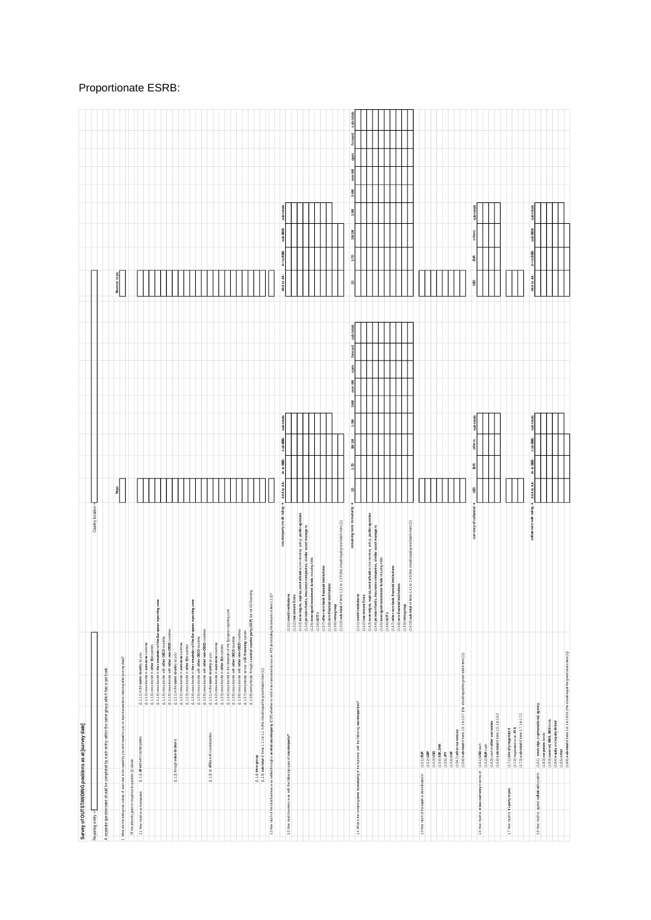| Survey of OUTSTANDING positions as at [survey date]                                                                                     |                                                                                                                        |                                                                                                                                                                          |                                                                                                                                                                                                                 |                       |                 |          |                                                               |                                                                                |            |
|-----------------------------------------------------------------------------------------------------------------------------------------|------------------------------------------------------------------------------------------------------------------------|--------------------------------------------------------------------------------------------------------------------------------------------------------------------------|-----------------------------------------------------------------------------------------------------------------------------------------------------------------------------------------------------------------|-----------------------|-----------------|----------|---------------------------------------------------------------|--------------------------------------------------------------------------------|------------|
| Reporting entity =                                                                                                                      |                                                                                                                        |                                                                                                                                                                          | Country location =                                                                                                                                                                                              |                       |                 |          |                                                               |                                                                                |            |
| A separate questionnaire should be completed by each entity within the same group which has a rpo book                                  |                                                                                                                        |                                                                                                                                                                          |                                                                                                                                                                                                                 |                       |                 |          |                                                               |                                                                                |            |
| 1 What are the total gross vialues of cash due to be repaid by you and repaid to you on report areastions maturing after [survey date]? |                                                                                                                        |                                                                                                                                                                          |                                                                                                                                                                                                                 | Repo                  |                 |          |                                                               | Reverse repo                                                                   |            |
| Of the amounts given in response to question (1) above:                                                                                 |                                                                                                                        |                                                                                                                                                                          |                                                                                                                                                                                                                 |                       |                 |          |                                                               |                                                                                |            |
| 1.1 How much was transacted:                                                                                                            | $(1.1.1)$ direct with counterparties                                                                                   | (1.1.1.1) in the same country as you                                                                                                                                     |                                                                                                                                                                                                                 |                       |                 |          |                                                               |                                                                                |            |
|                                                                                                                                         |                                                                                                                        | $(1.1.1.2)$ cross-boater in eurozone countries<br>$(1.1.1.3)$ cross-boater in other EU countries                                                                         |                                                                                                                                                                                                                 |                       |                 |          |                                                               |                                                                                |            |
|                                                                                                                                         |                                                                                                                        | (1.1.1.4) cross-border in the remainder of the European reporting zone<br>(1.1.1.5) cross-border with other OECD counties                                                |                                                                                                                                                                                                                 |                       |                 |          |                                                               |                                                                                |            |
|                                                                                                                                         | (1.1.2) through voice-brokers                                                                                          | (1.1.1.6) cross-border with other non-OECD counties                                                                                                                      |                                                                                                                                                                                                                 |                       |                 |          |                                                               |                                                                                |            |
|                                                                                                                                         |                                                                                                                        | (1.1.22) cross-border in eurozone countries<br>(1.121) in the same country as you                                                                                        |                                                                                                                                                                                                                 |                       |                 |          |                                                               |                                                                                |            |
|                                                                                                                                         |                                                                                                                        | (1.123) cross-border in other EU counties                                                                                                                                |                                                                                                                                                                                                                 |                       |                 |          |                                                               |                                                                                |            |
|                                                                                                                                         |                                                                                                                        | (1.1.2.4) cross-boder in the remainder of the European reporting zone                                                                                                    |                                                                                                                                                                                                                 |                       |                 |          |                                                               |                                                                                |            |
|                                                                                                                                         |                                                                                                                        | (1.1.2.5) cross-border with other OED countries<br>(1.1.2.6) cross-border with other non-OECD countries<br>(1.1.3.1) in the same country as you                          |                                                                                                                                                                                                                 |                       |                 |          |                                                               |                                                                                |            |
|                                                                                                                                         | (1.1.3) on ATSs with counterparties                                                                                    | (1.1.3.2) cross-border in eurozone countries                                                                                                                             |                                                                                                                                                                                                                 |                       |                 |          |                                                               |                                                                                |            |
|                                                                                                                                         |                                                                                                                        | (1.1.3.3) cross-border in other EU countries                                                                                                                             |                                                                                                                                                                                                                 |                       |                 |          |                                                               |                                                                                |            |
|                                                                                                                                         |                                                                                                                        | (1.1.3.4) cross-border in the remainder of the European reporting zone<br>(1.13.5) cross-border with other OECD countries                                                |                                                                                                                                                                                                                 |                       |                 |          |                                                               |                                                                                |            |
|                                                                                                                                         |                                                                                                                        | (1.1.3.6) cross-border with other non-OECD countries<br>(1.13.7) anonymously across a GC financing system                                                                |                                                                                                                                                                                                                 |                       |                 |          |                                                               |                                                                                |            |
|                                                                                                                                         |                                                                                                                        | (1.1.3.8) anonymously through a central counterparty (CCP) but not GC financing                                                                                          |                                                                                                                                                                                                                 |                       |                 |          |                                                               |                                                                                |            |
|                                                                                                                                         | (1.1.5) sub-total of litems 1.1.1 to 1.1.4 (this should equal the grand total in item (1))<br>$(1.1.4)$ intra-group    |                                                                                                                                                                          |                                                                                                                                                                                                                 |                       |                 |          |                                                               |                                                                                |            |
|                                                                                                                                         |                                                                                                                        | 12 How much of the total business was settled through a central counterparty (CCP) whether or not it was transposed across an ATS (le including the amounts in item 1.1. | $\frac{1}{20}$                                                                                                                                                                                                  |                       |                 |          |                                                               |                                                                                |            |
|                                                                                                                                         |                                                                                                                        |                                                                                                                                                                          |                                                                                                                                                                                                                 |                       |                 |          |                                                               |                                                                                |            |
| 1.3 How much business was with the following types of counterparty?                                                                     |                                                                                                                        |                                                                                                                                                                          | counterparty credit rating<br>$(1.3.1)$ credit institutions                                                                                                                                                     | AAA to AA-            | A+to BBB-       | sub-BBB- | sub-totals                                                    | sub-totals<br>sub-BBB<br>A+10 BBB<br>AAA to AA-                                |            |
|                                                                                                                                         |                                                                                                                        |                                                                                                                                                                          | (1.3.2) investment firms<br>(1.3.3) sovereigns, supras, central banks (not monetary policy), public agencies                                                                                                    |                       |                 |          |                                                               |                                                                                |            |
|                                                                                                                                         |                                                                                                                        |                                                                                                                                                                          |                                                                                                                                                                                                                 |                       |                 |          |                                                               |                                                                                |            |
|                                                                                                                                         |                                                                                                                        |                                                                                                                                                                          | (1.3.4) pension funds, insurance companies, similar asset managers<br>(1.3.5) leveraged investment funds including AMs                                                                                          |                       |                 |          |                                                               |                                                                                |            |
|                                                                                                                                         |                                                                                                                        |                                                                                                                                                                          | linancial institutions<br>$(1.3.6)$ UCITs                                                                                                                                                                       |                       |                 |          |                                                               |                                                                                |            |
|                                                                                                                                         |                                                                                                                        |                                                                                                                                                                          | sttutions<br>$(1.3.7)$ other non-bank fi $(1.3.8)$ non-financial insti                                                                                                                                          |                       |                 |          |                                                               |                                                                                |            |
|                                                                                                                                         |                                                                                                                        |                                                                                                                                                                          | $(1.3.9)$ intra-group                                                                                                                                                                                           |                       |                 |          |                                                               |                                                                                |            |
|                                                                                                                                         |                                                                                                                        |                                                                                                                                                                          | (1.3.10) sub-total of items 1.3.1 to 1.3.9 (this should equal grand total in item (1))                                                                                                                          |                       |                 |          |                                                               |                                                                                |            |
|                                                                                                                                         |                                                                                                                        |                                                                                                                                                                          | remaining term to maturity →                                                                                                                                                                                    | $\mathop{\mathsf{e}}$ | 1-70            | 1W-1M    | sub-totals<br>forward<br>open<br>over 6M<br>3-6M<br>$1 - 300$ | forward<br>gen<br>over 6M<br>$3 - 60$<br>13M<br>1W-1M<br>$+70$<br>$\mathsf{e}$ | sub-totals |
|                                                                                                                                         | 1.4 What is the remaining term to maturity of the business with the following counterparties?                          |                                                                                                                                                                          | (1.4.1) credit institutions                                                                                                                                                                                     |                       |                 |          |                                                               |                                                                                |            |
|                                                                                                                                         |                                                                                                                        |                                                                                                                                                                          | $(1.4.2)$ investment firm s                                                                                                                                                                                     |                       |                 |          |                                                               |                                                                                |            |
|                                                                                                                                         |                                                                                                                        |                                                                                                                                                                          | (1.4.3) sovereigns supras, central banks (not moviesy policy), public agencies<br>(1.4.4) persison funds, insurance companies, similar asset mainagers<br>(1.4.5) is veraged in vestment funds including A fils |                       |                 |          |                                                               |                                                                                |            |
|                                                                                                                                         |                                                                                                                        |                                                                                                                                                                          | $(1.4.6)$ UCITs                                                                                                                                                                                                 |                       |                 |          |                                                               |                                                                                |            |
|                                                                                                                                         |                                                                                                                        |                                                                                                                                                                          | financial institutions                                                                                                                                                                                          |                       |                 |          |                                                               |                                                                                |            |
|                                                                                                                                         |                                                                                                                        |                                                                                                                                                                          |                                                                                                                                                                                                                 |                       |                 |          |                                                               |                                                                                |            |
|                                                                                                                                         |                                                                                                                        |                                                                                                                                                                          | (1.4.7) other non-bank financial institutions<br>(1.4.9) mortianzeal institutions<br>(1.4.10) stab-ceal of learns (4.1 to 1.4.9 (this should capat grand total in learn (1))                                    |                       |                 |          |                                                               |                                                                                |            |
|                                                                                                                                         |                                                                                                                        |                                                                                                                                                                          |                                                                                                                                                                                                                 |                       |                 |          |                                                               |                                                                                |            |
| 1.5 How much of the cash is denominated in:                                                                                             | $(1.5.1)$ EUR<br>$(1.5.2)$ GBP                                                                                         |                                                                                                                                                                          |                                                                                                                                                                                                                 |                       |                 |          |                                                               |                                                                                |            |
|                                                                                                                                         | $(1.5.3)$ USD                                                                                                          |                                                                                                                                                                          |                                                                                                                                                                                                                 |                       |                 |          |                                                               |                                                                                |            |
|                                                                                                                                         | $(1.5.4)$ SBK, DKK                                                                                                     |                                                                                                                                                                          |                                                                                                                                                                                                                 |                       |                 |          |                                                               |                                                                                |            |
|                                                                                                                                         | $(1.5.5)$ JPY<br>$(1.5.6)$ CHF                                                                                         |                                                                                                                                                                          |                                                                                                                                                                                                                 |                       |                 |          |                                                               |                                                                                |            |
|                                                                                                                                         | (1.5.8) sub-total of items 1.5.1 to 1.5.7 (this should equal the grand total in item (1))<br>(1.54.7) other currencies |                                                                                                                                                                          |                                                                                                                                                                                                                 |                       |                 |          |                                                               |                                                                                |            |
|                                                                                                                                         |                                                                                                                        |                                                                                                                                                                          |                                                                                                                                                                                                                 |                       |                 |          |                                                               |                                                                                |            |
| 1.6 How much is cross-currency in terms of:                                                                                             | $(1.6.1)$ USD cash                                                                                                     |                                                                                                                                                                          | currency of collateral →                                                                                                                                                                                        | ŝ                     | $\mathbbmss{E}$ | others   | sub-totals                                                    | sub-totals<br>others<br>ã<br>g                                                 |            |
|                                                                                                                                         | $(1.6.2)$ EUR cash                                                                                                     |                                                                                                                                                                          |                                                                                                                                                                                                                 |                       |                 |          |                                                               |                                                                                |            |
|                                                                                                                                         | $(1.6.4)$ sub-total of hems $1.6.1$ to $1.6.3$<br>(1.6.3) cash in other currencies                                     |                                                                                                                                                                          |                                                                                                                                                                                                                 |                       |                 |          |                                                               |                                                                                |            |
|                                                                                                                                         |                                                                                                                        |                                                                                                                                                                          |                                                                                                                                                                                                                 |                       |                 |          |                                                               |                                                                                |            |
| 1.7 How much is tri-party repos:                                                                                                        | (1.7.1) directly negotiated                                                                                            |                                                                                                                                                                          |                                                                                                                                                                                                                 |                       |                 |          |                                                               |                                                                                |            |
|                                                                                                                                         | $(1.7.2)$ negotiated on an ATS<br>$(1.7.3)$ sub-total of items $1.7.1$ to $1.7.2$                                      |                                                                                                                                                                          |                                                                                                                                                                                                                 |                       |                 |          |                                                               |                                                                                |            |
|                                                                                                                                         |                                                                                                                        |                                                                                                                                                                          | collateral credit rating                                                                                                                                                                                        | AAA to AA-            | A+to BBB-       | sub-BBB- | sub-totals                                                    | sub-totals<br>sub-BBB-<br>A+10 BBB<br><b>MA10 MA-</b>                          |            |
| 1.8 How much is against collateral issued in:                                                                                           | (1.8.1) sovereign, supreanational, agency<br>(1.8.3) corporate boots<br>(1.8.3) covered, MBS, ABS bords                |                                                                                                                                                                          |                                                                                                                                                                                                                 |                       |                 |          |                                                               |                                                                                |            |
|                                                                                                                                         |                                                                                                                        |                                                                                                                                                                          |                                                                                                                                                                                                                 |                       |                 |          |                                                               |                                                                                |            |
|                                                                                                                                         | (1.8.4) equity and equity-linked                                                                                       |                                                                                                                                                                          |                                                                                                                                                                                                                 |                       |                 |          |                                                               |                                                                                |            |
|                                                                                                                                         | (1.8.6) sub-total of items 1.8.1 to 1.8.51 (this should equal the grand total in item(1))<br>$(1.8.5)$ other           |                                                                                                                                                                          |                                                                                                                                                                                                                 |                       |                 |          |                                                               |                                                                                |            |

## Proportionate ESRB: